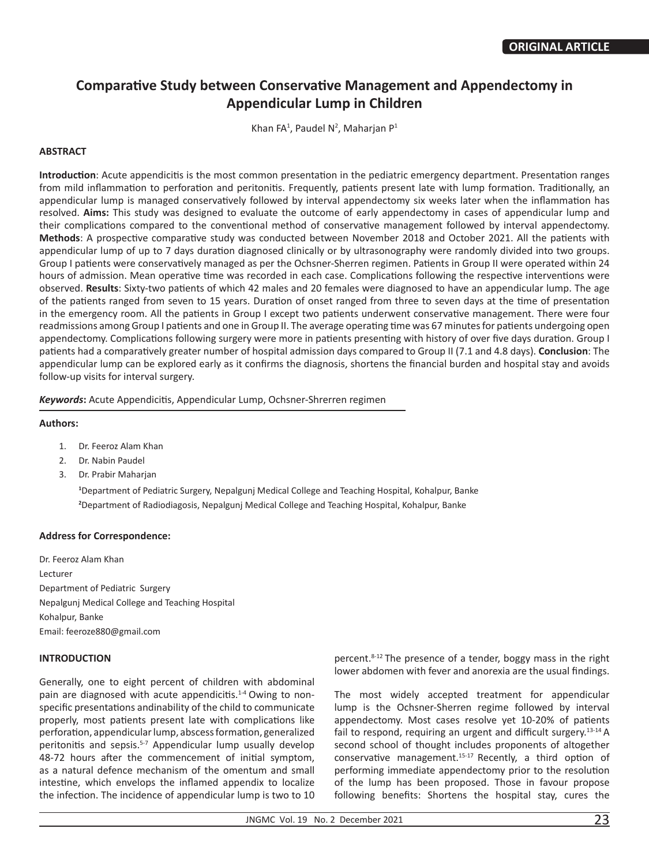# **Comparative Study between Conservative Management and Appendectomy in Appendicular Lump in Children**

Khan FA<sup>1</sup>, Paudel N<sup>2</sup>, Maharjan P<sup>1</sup>

## **ABSTRACT**

**Introduction**: Acute appendicitis is the most common presentation in the pediatric emergency department. Presentation ranges from mild inflammation to perforation and peritonitis. Frequently, patients present late with lump formation. Traditionally, an appendicular lump is managed conservatively followed by interval appendectomy six weeks later when the inflammation has resolved. **Aims:** This study was designed to evaluate the outcome of early appendectomy in cases of appendicular lump and their complications compared to the conventional method of conservative management followed by interval appendectomy. **Methods**: A prospective comparative study was conducted between November 2018 and October 2021. All the patients with appendicular lump of up to 7 days duration diagnosed clinically or by ultrasonography were randomly divided into two groups. Group I patients were conservatively managed as per the Ochsner-Sherren regimen. Patients in Group II were operated within 24 hours of admission. Mean operative time was recorded in each case. Complications following the respective interventions were observed. **Results**: Sixty-two patients of which 42 males and 20 females were diagnosed to have an appendicular lump. The age of the patients ranged from seven to 15 years. Duration of onset ranged from three to seven days at the time of presentation in the emergency room. All the patients in Group I except two patients underwent conservative management. There were four readmissions among Group I patients and one in Group II. The average operating time was 67 minutes for patients undergoing open appendectomy. Complications following surgery were more in patients presenting with history of over five days duration. Group I patients had a comparatively greater number of hospital admission days compared to Group II (7.1 and 4.8 days). **Conclusion**: The appendicular lump can be explored early as it confirms the diagnosis, shortens the financial burden and hospital stay and avoids follow-up visits for interval surgery.

*Keywords***:** Acute Appendicitis, Appendicular Lump, Ochsner-Shrerren regimen

#### **Authors:**

- 1. Dr. Feeroz Alam Khan
- 2. Dr. Nabin Paudel
- 3. Dr. Prabir Maharjan

**1** Department of Pediatric Surgery, Nepalgunj Medical College and Teaching Hospital, Kohalpur, Banke **2** Department of Radiodiagosis, Nepalgunj Medical College and Teaching Hospital, Kohalpur, Banke

#### **Address for Correspondence:**

Dr. Feeroz Alam Khan Lecturer Department of Pediatric Surgery Nepalgunj Medical College and Teaching Hospital Kohalpur, Banke Email: feeroze880@gmail.com

## **INTRODUCTION**

Generally, one to eight percent of children with abdominal pain are diagnosed with acute appendicitis.<sup>1-4</sup> Owing to nonspecific presentations andinability of the child to communicate properly, most patients present late with complications like perforation, appendicular lump, abscess formation, generalized peritonitis and sepsis.<sup>5-7</sup> Appendicular lump usually develop 48-72 hours after the commencement of initial symptom, as a natural defence mechanism of the omentum and small intestine, which envelops the inflamed appendix to localize the infection. The incidence of appendicular lump is two to 10 percent.8-12 The presence of a tender, boggy mass in the right lower abdomen with fever and anorexia are the usual findings.

The most widely accepted treatment for appendicular lump is the Ochsner-Sherren regime followed by interval appendectomy. Most cases resolve yet 10-20% of patients fail to respond, requiring an urgent and difficult surgery.<sup>13-14</sup> A second school of thought includes proponents of altogether conservative management. $15-17$  Recently, a third option of performing immediate appendectomy prior to the resolution of the lump has been proposed. Those in favour propose following benefits: Shortens the hospital stay, cures the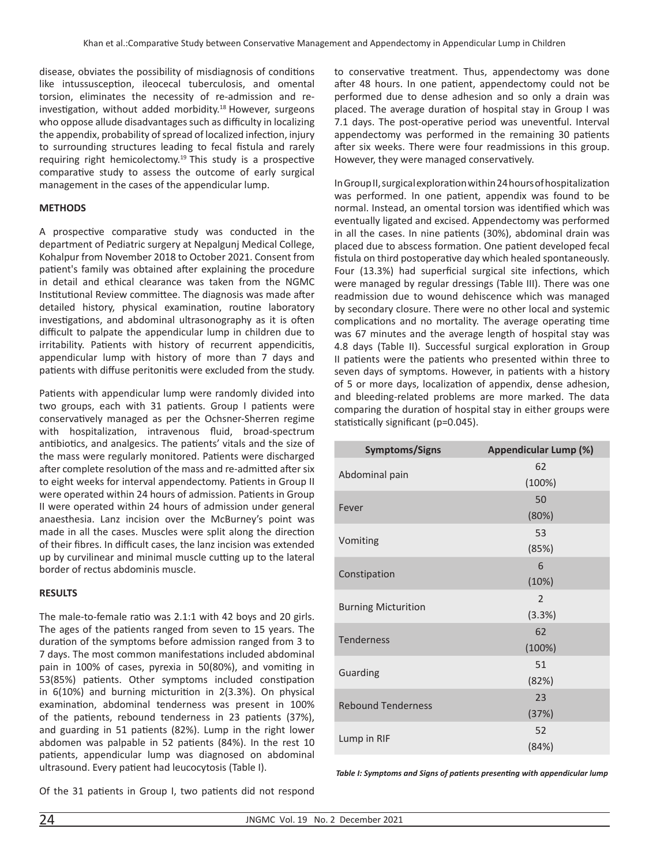disease, obviates the possibility of misdiagnosis of conditions like intussusception, ileocecal tuberculosis, and omental torsion, eliminates the necessity of re-admission and reinvestigation, without added morbidity.18 However, surgeons who oppose allude disadvantages such as difficulty in localizing the appendix, probability of spread of localized infection, injury to surrounding structures leading to fecal fistula and rarely requiring right hemicolectomy.<sup>19</sup> This study is a prospective comparative study to assess the outcome of early surgical management in the cases of the appendicular lump.

## **METHODS**

A prospective comparative study was conducted in the department of Pediatric surgery at Nepalgunj Medical College, Kohalpur from November 2018 to October 2021. Consent from patient's family was obtained after explaining the procedure in detail and ethical clearance was taken from the NGMC Institutional Review committee. The diagnosis was made after detailed history, physical examination, routine laboratory investigations, and abdominal ultrasonography as it is often difficult to palpate the appendicular lump in children due to irritability. Patients with history of recurrent appendicitis, appendicular lump with history of more than 7 days and patients with diffuse peritonitis were excluded from the study.

Patients with appendicular lump were randomly divided into two groups, each with 31 patients. Group I patients were conservatively managed as per the Ochsner-Sherren regime with hospitalization, intravenous fluid, broad-spectrum antibiotics, and analgesics. The patients' vitals and the size of the mass were regularly monitored. Patients were discharged after complete resolution of the mass and re-admitted after six to eight weeks for interval appendectomy. Patients in Group II were operated within 24 hours of admission. Patients in Group II were operated within 24 hours of admission under general anaesthesia. Lanz incision over the McBurney's point was made in all the cases. Muscles were split along the direction of their fibres. In difficult cases, the lanz incision was extended up by curvilinear and minimal muscle cutting up to the lateral border of rectus abdominis muscle.

#### **RESULTS**

The male-to-female ratio was 2.1:1 with 42 boys and 20 girls. The ages of the patients ranged from seven to 15 years. The duration of the symptoms before admission ranged from 3 to 7 days. The most common manifestations included abdominal pain in 100% of cases, pyrexia in 50(80%), and vomiting in 53(85%) patients. Other symptoms included constipation in 6(10%) and burning micturition in 2(3.3%). On physical examination, abdominal tenderness was present in 100% of the patients, rebound tenderness in 23 patients (37%), and guarding in 51 patients (82%). Lump in the right lower abdomen was palpable in 52 patients (84%). In the rest 10 patients, appendicular lump was diagnosed on abdominal ultrasound. Every patient had leucocytosis (Table I).

Of the 31 patients in Group I, two patients did not respond

to conservative treatment. Thus, appendectomy was done after 48 hours. In one patient, appendectomy could not be performed due to dense adhesion and so only a drain was placed. The average duration of hospital stay in Group I was 7.1 days. The post-operative period was uneventful. Interval appendectomy was performed in the remaining 30 patients after six weeks. There were four readmissions in this group. However, they were managed conservatively.

In Group II, surgical exploration within 24 hours of hospitalization was performed. In one patient, appendix was found to be normal. Instead, an omental torsion was identified which was eventually ligated and excised. Appendectomy was performed in all the cases. In nine patients (30%), abdominal drain was placed due to abscess formation. One patient developed fecal fistula on third postoperative day which healed spontaneously. Four (13.3%) had superficial surgical site infections, which were managed by regular dressings (Table III). There was one readmission due to wound dehiscence which was managed by secondary closure. There were no other local and systemic complications and no mortality. The average operating time was 67 minutes and the average length of hospital stay was 4.8 days (Table II). Successful surgical exploration in Group II patients were the patients who presented within three to seven days of symptoms. However, in patients with a history of 5 or more days, localization of appendix, dense adhesion, and bleeding-related problems are more marked. The data comparing the duration of hospital stay in either groups were statistically significant (p=0.045).

| <b>Symptoms/Signs</b>      | Appendicular Lump (%) |  |  |
|----------------------------|-----------------------|--|--|
| Abdominal pain             | 62                    |  |  |
|                            | (100%)                |  |  |
| Fever                      | 50                    |  |  |
|                            | (80%)                 |  |  |
|                            | 53                    |  |  |
| Vomiting                   | (85%)                 |  |  |
| Constipation               | 6                     |  |  |
|                            | (10%)                 |  |  |
|                            | $\overline{2}$        |  |  |
| <b>Burning Micturition</b> | (3.3%)                |  |  |
| <b>Tenderness</b>          | 62                    |  |  |
|                            | (100%)                |  |  |
|                            | 51                    |  |  |
| Guarding                   | (82%)                 |  |  |
| <b>Rebound Tenderness</b>  | 23                    |  |  |
|                            | (37%)                 |  |  |
|                            | 52                    |  |  |
| Lump in RIF                | (84%)                 |  |  |

*Table I: Symptoms and Signs of patients presenting with appendicular lump*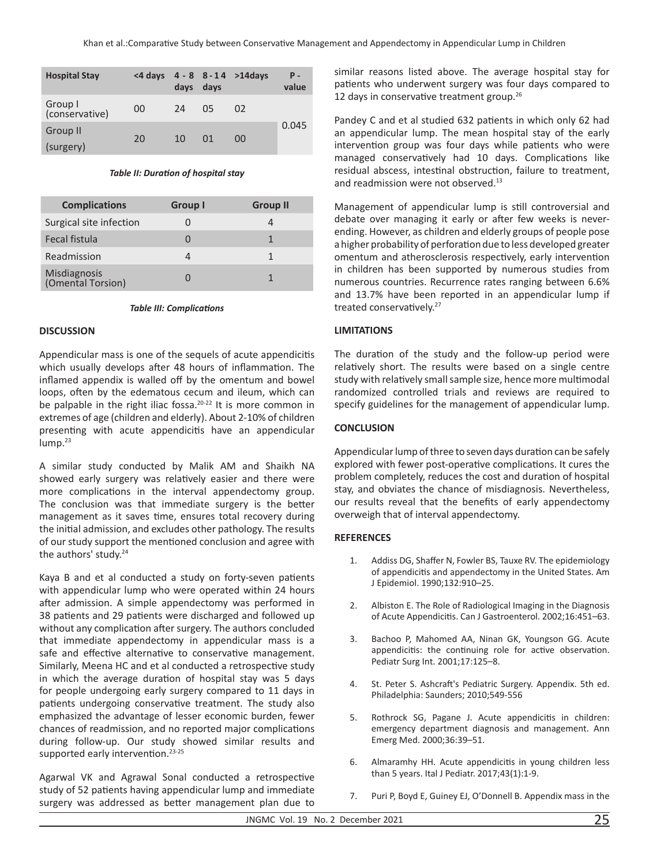| <b>Hospital Stay</b>      | <4 davs | days | days | $4 - 8$ 8-14 >14 days | Р.<br>value |
|---------------------------|---------|------|------|-----------------------|-------------|
| Group I<br>(conservative) | 00      | 24   | 05   | 02                    |             |
| Group II<br>(surgery)     | 20      | 10   | 01   | 00                    | 0.045       |

### *Table II: Duration of hospital stay*

| <b>Complications</b>              | Group I | <b>Group II</b> |
|-----------------------------------|---------|-----------------|
| Surgical site infection           |         |                 |
| Fecal fistula                     |         | 1               |
| Readmission                       |         | 1               |
| Misdiagnosis<br>(Omental Torsion) |         |                 |

#### *Table III: Complications*

#### **DISCUSSION**

Appendicular mass is one of the sequels of acute appendicitis which usually develops after 48 hours of inflammation. The inflamed appendix is walled off by the omentum and bowel loops, often by the edematous cecum and ileum, which can be palpable in the right iliac fossa.<sup>20-22</sup> It is more common in extremes of age (children and elderly). About 2-10% of children presenting with acute appendicitis have an appendicular lump.<sup>23</sup>

A similar study conducted by Malik AM and Shaikh NA showed early surgery was relatively easier and there were more complications in the interval appendectomy group. The conclusion was that immediate surgery is the better management as it saves time, ensures total recovery during the initial admission, and excludes other pathology. The results of our study support the mentioned conclusion and agree with the authors' study.<sup>24</sup>

Kaya B and et al conducted a study on forty-seven patients with appendicular lump who were operated within 24 hours after admission. A simple appendectomy was performed in 38 patients and 29 patients were discharged and followed up without any complication after surgery. The authors concluded that immediate appendectomy in appendicular mass is a safe and effective alternative to conservative management. Similarly, Meena HC and et al conducted a retrospective study in which the average duration of hospital stay was 5 days for people undergoing early surgery compared to 11 days in patients undergoing conservative treatment. The study also emphasized the advantage of lesser economic burden, fewer chances of readmission, and no reported major complications during follow-up. Our study showed similar results and supported early intervention.<sup>23-25</sup>

Agarwal VK and Agrawal Sonal conducted a retrospective study of 52 patients having appendicular lump and immediate surgery was addressed as better management plan due to similar reasons listed above. The average hospital stay for patients who underwent surgery was four days compared to 12 days in conservative treatment group.<sup>26</sup>

Pandey C and et al studied 632 patients in which only 62 had an appendicular lump. The mean hospital stay of the early intervention group was four days while patients who were managed conservatively had 10 days. Complications like residual abscess, intestinal obstruction, failure to treatment, and readmission were not observed.<sup>13</sup>

Management of appendicular lump is still controversial and debate over managing it early or after few weeks is neverending. However, as children and elderly groups of people pose a higher probability of perforation due to less developed greater omentum and atherosclerosis respectively, early intervention in children has been supported by numerous studies from numerous countries. Recurrence rates ranging between 6.6% and 13.7% have been reported in an appendicular lump if treated conservatively.<sup>27</sup>

## **LIMITATIONS**

The duration of the study and the follow-up period were relatively short. The results were based on a single centre study with relatively small sample size, hence more multimodal randomized controlled trials and reviews are required to specify guidelines for the management of appendicular lump.

## **CONCLUSION**

Appendicular lump of three to seven days duration can be safely explored with fewer post-operative complications. It cures the problem completely, reduces the cost and duration of hospital stay, and obviates the chance of misdiagnosis. Nevertheless, our results reveal that the benefits of early appendectomy overweigh that of interval appendectomy.

## **REFERENCES**

- 1. Addiss DG, Shaffer N, Fowler BS, Tauxe RV. The epidemiology of appendicitis and appendectomy in the United States. Am J Epidemiol. 1990;132:910–25.
- 2. Albiston E. The Role of Radiological Imaging in the Diagnosis of Acute Appendicitis. Can J Gastroenterol. 2002;16:451–63.
- 3. Bachoo P, Mahomed AA, Ninan GK, Youngson GG. Acute appendicitis: the continuing role for active observation. Pediatr Surg Int. 2001;17:125–8.
- 4. St. Peter S. Ashcraft's Pediatric Surgery. Appendix. 5th ed. Philadelphia: Saunders; 2010;549-556
- 5. Rothrock SG, Pagane J. Acute appendicitis in children: emergency department diagnosis and management. Ann Emerg Med. 2000;36:39–51.
- 6. Almaramhy HH. Acute appendicitis in young children less than 5 years. Ital J Pediatr. 2017;43(1):1-9.
- 7. Puri P, Boyd E, Guiney EJ, O'Donnell B. Appendix mass in the